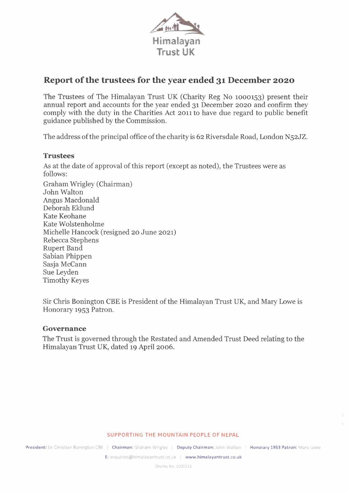

# **Report ofthe trustees for the year ended 31 December 2020**

The Trustees of The Himalayan Trust UK (Charity Reg No 1000153) present their annual report and accounts for the year ended 31 December 2020 and confirm they comply with the duty in the Charities Act 2011 to have due regard to public benefit guidance published by the Commission.

The address of the principal office of the charity is 62 Riversdale Road, London N52JZ.

#### **Trustees**

As at the date of approval of this report (except as noted), the Trustees were as follows:

Graham Wrigley (Chairman) John Walton Angus Macdonald Deborah Eklund Kate Keohane Kate Wolstenholme Michelle Hancock (resigned 20 June 2021) Rebecca Stephens Rupert Band Sabian Phippen Sasja McCann Sue Leyden Timothy Keyes

Sir Chris Bonington CBE is President of the Himalayan Trust UK, and Mary Lowe is Honorary 1953 Patron.

#### **Governance**

The Trust is governed through the Restated and Amended Trust Deed relating to the Himalayan Trust UK, dated 19 April 2006.

#### **SUPPORTING THE MOUNTAIN PEOPLE OF NEPAL**

**President:** Sir Christian Bonington CBE | Chairman: Graham Wrigley | Deputy Chairman: John Walton | Honorary 1953 Patron: Mary Lowe

**E:** enquiries@himalayantrust.co.uk **www.himalayantrust.co.uk**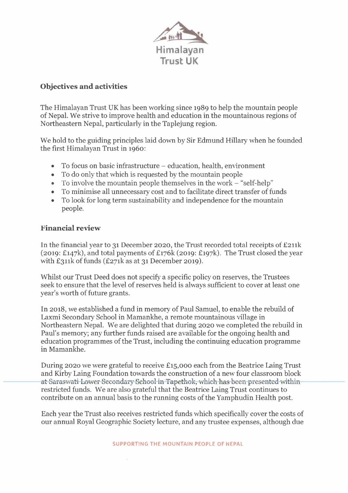

## **Objectives and activities**

The Himalayan Trust UK has been working since 1989 to help the mountain people of Nepal. We strive to improve health and education in the mountainous regions of Northeastern Nepal, particularly in the Taplejung region.

We hold to the guiding principles laid down by Sir Edmund Hillary when he founded the first Himalayan Trust in 1960:

- To focus on basic infrastructure education, health, environment
- To do only that which is requested by the mountain people
- To involve the mountain people themselves in the work  $-$  "self-help"
- To minimise all unnecessary cost and to facilitate direct transfer of funds
- To look for long term sustainability and independence for the mountain people.

## **Financial review**

In the financial year to 31 December 2020, the Trust recorded total receipts of £211k (2019: £147k), and total payments of £176k (2019: £197k). The Trust closed the year with  $£311k$  of funds  $£271k$  as at 31 December 2019).

Whilst our Trust Deed does not specify a specific policy on reserves, the Trustees seek to ensure that the level of reserves held is always sufficient to cover at least one year's worth of future grants.

In 2018, we established <sup>a</sup> fund in memory of Paul Samuel, to enable the rebuild of Laxmi Secondary School in Mamankhe, <sup>a</sup> remote mountainous village in Northeastern Nepal. We are delighted that during 2020 we completed the rebuild in Paul's memory; any further funds raised are available for the ongoing health and education programmes of the Trust, including the continuing education programme in Mamankhe. es<br>
it one<br>
ild in<br>
ild in<br>
in-<br>
im-<br>
Trust<br>
block<br>
ithin<br>
o<br>
ost.<br>
osts of

During 2020 we were grateful to receive £15,000 each from the Beatrice Laing Trust<br>and Kirby Laing Foundation towards the construction of a new four classroom block<br><del>at Saraswati Lower Secondary School in Tapethok, which h</del> a and Kirby Laing Foundation towards the construction of <sup>a</sup> new four classroom block at barasman Lower becomain behoor in Tapethon, which has been presented with<br>restricted funds. We are also grateful that the Beatrice Laing Trust continues to Iring 2020 we were grateful to receive £15,000 each from the Beatrice Laing I<br>id Kirby Laing Foundation towards the construction of a new four classroom b<br>Saraswati Lower Secondary School in Tapethok, which has been presen contribute on an annual basis to the running costs of the Yamphudin Health post.

> Each year the Trust also receives restricted funds which specifically cover the costs of our annual Royal Geographic Society lecture, and any trustee expenses, although due

> > **SUPPORTING THE MOUNTAIN PEOPLE OF NEPAL**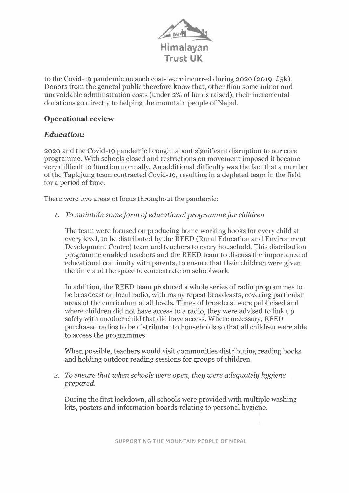

to the Covid-19 pandemic no such costs were incurred during 2020 (2019: £5k). Donors from the general public therefore know that, other than some minor and unavoidable administration costs (under 2% of funds raised), their incremental donations go directly to helping the mountain people of Nepal.

## **Operational review**

## *Education:*

2020 and the Covid-19 pandemic brought about significant disruption to our core programme. With schools closed and restrictions on movement imposed it became very difficult to function normally. An additional difficulty was the fact that a number ofthe Taplejung team contracted Covid-19, resulting in a depleted team in the field for a period of time.

There were two areas of focus throughout the pandemic:

*1. To maintain some form ofeducational programme for children*

The team were focused on producing home working books for every child at every level, to be distributed by the REED (Rural Education and Environment Development Centre) team and teachers to every household. This distribution programme enabled teachers and the REED team to discuss the importance of educational continuity with parents, to ensure that their children were given the time and the space to concentrate on schoolwork.

In addition, the REED team produced a whole series of radio programmes to be broadcast on local radio, with many repeat broadcasts, covering particular areas of the curriculum at all levels. Times of broadcast were publicised and where children did not have access to a radio, they were advised to link up safely with another child that did have access. Where necessary, REED purchased radios to be distributed to households so that all children were able to access the programmes.

When possible, teachers would visit communities distributing reading books and holding outdoor reading sessions for groups of children.

*2. To ensure that when schools were open, they were adequately hygiene prepared.*

During the first lockdown, all schools were provided with multiple washing kits, posters and information boards relating to personal hygiene.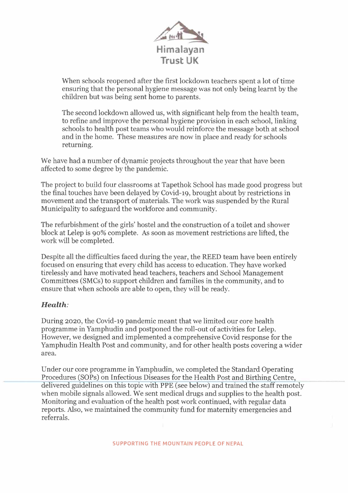

When schools reopened after the first lockdown teachers spent a lot of time ensuring that the personal hygiene message was not only being learnt by the children but was being sent home to parents.

The second lockdown allowed us, with significant help from the health team, to refine and improve the personal hygiene provision in each school, linking schools to health post teams who would reinforce the message both at school and in the home. These measures are now in place and ready for schools returning.

We have had a number of dynamic projects throughout the year that have been affected to some degree by the pandemic.

The project to build four classrooms at Tapethok School has made good progress but the final touches have been delayed by Covid-19, brought about by restrictions in movement and the transport of materials. The work was suspended by the Rural Municipality to safeguard the workforce and community.

The refurbishment of the girls' hostel and the construction of a toilet and shower block at Lelep is 90% complete. As soon as movement restrictions are lifted, the work will be completed.

Despite all the difficulties faced during the year, the REED team have been entirely focused on ensuring that every child has access to education. They have worked tirelessly and have motivated head teachers, teachers and School Management Committees (SMCs) to support children and families in the community, and to ensure that when schools are able to open, they will be ready.

## *Health:*

During 2020, the Covid-19 pandemic meant that we limited our core health programme in Yamphudin and postponed the roll-out of activities for Lelep. However, we designed and implemented <sup>a</sup> comprehensive Covid response for the Yamphudin Health Post and community, and for other health posts covering <sup>a</sup> wider area.

Under our core programme in Yamphudin, we completed the Standard Operating Procedures (SOPs) on Infectious Diseases for the Health Post and Birthing Centre, delivered guidelines on this topic with PPE (see below) and trained the staff remotely when mobile signals allowed. We sent medical drugs and supplies to the health post. Monitoring and evaluation of the health post work continued, with regular data reports. Also, we maintained the community fund for maternity emergencies and referrals.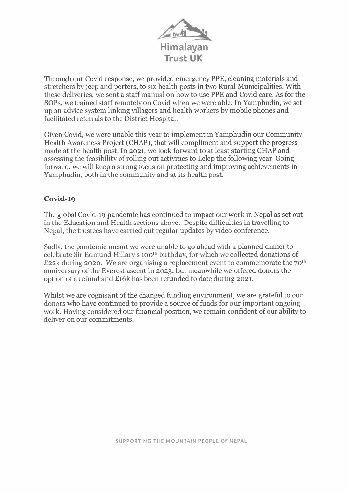

Through our Covid response, we provided emergency PPE, cleaning materials and stretchers by jeep and porters, to six health posts in two Rural Municipalities. With these deliveries, we sent a staff manual on how to use PPE and Covid care. As for the SOPs, we trained staff remotely on Covid when we were able. In Yamphudin, we set up an advice system linking villagers and health workers by mobile phones and facilitated referrals to the District Hospital.

Given Covid, we were unable this year to implement in Yamphudin our Community Health Awareness Project (CHAP), that will compliment and support the progress made at the health post. In 2021, we look forward to at least starting CHAP and assessing the feasibility of rolling out activities to Lelep the following year. Going forward, we will keep <sup>a</sup> strong focus on protecting and improving achievements in Yamphudin, both in the community and at its health post.

#### **Covid-19**

The global Covid-19 pandemic has continued to impact our work in Nepal as set out in the Education and Health sections above. Despite difficulties in travelling to Nepal, the trustees have carried out regular updates by video conference.

Sadly, the pandemic meant we were unable to go ahead with a planned dinner to celebrate Sir Edmund Hillary's 100<sup>th</sup> birthday, for which we collected donations of £22k during 2020. We are organising a replacement event to commemorate the  $70<sup>th</sup>$ anniversary of the Everest ascent in 2023, but meanwhile we offered donors the option of <sup>a</sup> refund and £16k has been refunded to date during 2021.

Whilst we are cognisant of the changed funding environment, we are grateful to our donors who have continued to provide a source of funds for our important ongoing work. Having considered our financial position, we remain confident of our ability to deliver on our commitments.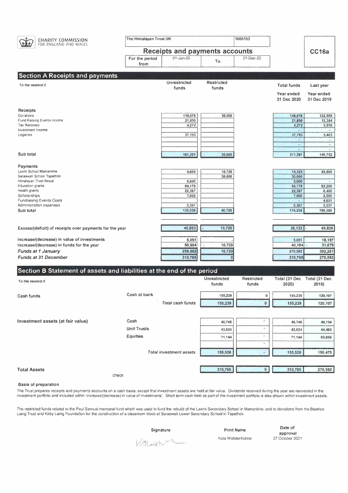

|                     | -----                   | $-0, 1, 0$ |           | $-10, 1, 100$ | $-10$   |
|---------------------|-------------------------|------------|-----------|---------------|---------|
|                     | <b>Unit Trusts</b>      | 43,634     | $\bullet$ | 43,634        | 44,465  |
|                     | <b>Equities</b>         | 71,144     |           | 71,144        | 65,856  |
|                     |                         |            | $\sim$    |               |         |
|                     | Total investment assets | 155,526    |           | 155,526       | 150,475 |
|                     |                         |            |           |               |         |
| <b>Total Assets</b> |                         | 310,765    | $\Omega$  | 310,765       | 270,582 |
|                     | check                   |            |           |               |         |

#### **Basis of preparation**

The Trust prepares receipts and payments accounts on <sup>a</sup> cash basis, except that investment assets are held at fair value. Dividends received during the year are reinvested in the investment portfolio and included within 'increase/(decrease) in value of investments'. Short tenm cash held as part of the investment portfolio is also shown within investment assets.

The restricted funds related to the Paul Samuel memorial fund which was used to fund the rebuild of the Laxmi Secondary School in Mamankhe, and to donations from the Beatrice Laing Trust and Kirby Laing Foundation for the construction of <sup>a</sup> classroom block at Saraswati Lower Secondary School in Tapethok.

Kate Wolstenholme

**Date of approval** <sup>27</sup> October 2021

**Signature Print Name**<br>Kate Wolstenhol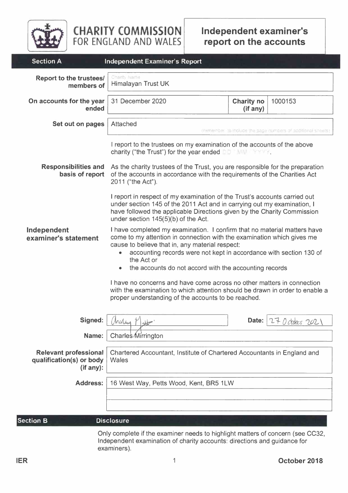

**CHARITY COMMISSION FOR ENGLAND AND WALES**

| <b>Section A</b>                                                                                                                                                          | <b>Independent Examiner's Report</b>                                                                                                                                                                                                                                                                                                                     |                               |             |  |  |  |
|---------------------------------------------------------------------------------------------------------------------------------------------------------------------------|----------------------------------------------------------------------------------------------------------------------------------------------------------------------------------------------------------------------------------------------------------------------------------------------------------------------------------------------------------|-------------------------------|-------------|--|--|--|
| Report to the trustees/<br>members of                                                                                                                                     | Charity Name<br>Himalayan Trust UK                                                                                                                                                                                                                                                                                                                       |                               |             |  |  |  |
| On accounts for the year<br>ended                                                                                                                                         | 31 December 2020                                                                                                                                                                                                                                                                                                                                         | <b>Charity no</b><br>(if any) | 1000153     |  |  |  |
| Set out on pages                                                                                                                                                          | Attached<br>fremencer to notide the page it mbers or additional sheets.                                                                                                                                                                                                                                                                                  |                               |             |  |  |  |
|                                                                                                                                                                           | I report to the trustees on my examination of the accounts of the above<br>charity ("the Trust") for the year ended $\Box$                                                                                                                                                                                                                               |                               |             |  |  |  |
| <b>Responsibilities and</b><br>basis of report                                                                                                                            | As the charity trustees of the Trust, you are responsible for the preparation<br>of the accounts in accordance with the requirements of the Charities Act<br>2011 ("the Act").                                                                                                                                                                           |                               |             |  |  |  |
|                                                                                                                                                                           | I report in respect of my examination of the Trust's accounts carried out<br>under section 145 of the 2011 Act and in carrying out my examination, I<br>have followed the applicable Directions given by the Charity Commission<br>under section 145(5)(b) of the Act.                                                                                   |                               |             |  |  |  |
| Independent<br>examiner's statement                                                                                                                                       | I have completed my examination. I confirm that no material matters have<br>come to my attention in connection with the examination which gives me<br>cause to believe that in, any material respect:<br>accounting records were not kept in accordance with section 130 of<br>۰<br>the Act or<br>the accounts do not accord with the accounting records |                               |             |  |  |  |
|                                                                                                                                                                           | I have no concerns and have come across no other matters in connection<br>with the examination to which attention should be drawn in order to enable a<br>proper understanding of the accounts to be reached.                                                                                                                                            |                               |             |  |  |  |
| Signed:                                                                                                                                                                   | $\sim$<br>Maling                                                                                                                                                                                                                                                                                                                                         | Date:                         | October 202 |  |  |  |
| Name:                                                                                                                                                                     | Charles Mirrington                                                                                                                                                                                                                                                                                                                                       |                               |             |  |  |  |
| <b>Relevant professional</b><br>qualification(s) or body<br>(if any):                                                                                                     | Chartered Accountant, Institute of Chartered Accountants in England and<br>Wales                                                                                                                                                                                                                                                                         |                               |             |  |  |  |
| <b>Address:</b>                                                                                                                                                           | 16 West Way, Petts Wood, Kent, BR5 1LW                                                                                                                                                                                                                                                                                                                   |                               |             |  |  |  |
|                                                                                                                                                                           |                                                                                                                                                                                                                                                                                                                                                          |                               |             |  |  |  |
|                                                                                                                                                                           |                                                                                                                                                                                                                                                                                                                                                          |                               |             |  |  |  |
| <b>Section B</b>                                                                                                                                                          | <b>Disclosure</b>                                                                                                                                                                                                                                                                                                                                        |                               |             |  |  |  |
| Only complete if the examiner needs to highlight matters of concern (see CC32,<br>Independent examination of charity accounts: directions and guidance for<br>examiners). |                                                                                                                                                                                                                                                                                                                                                          |                               |             |  |  |  |